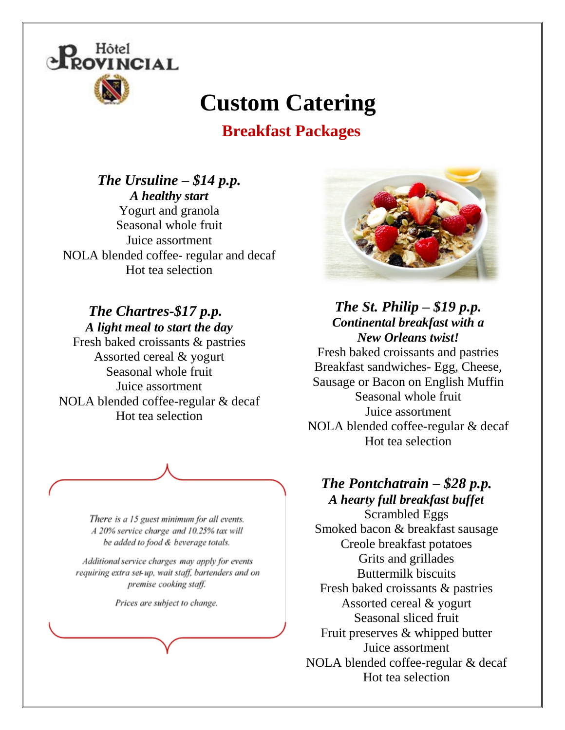

# **Custom Catering**

**Breakfast Packages**

*The Ursuline – \$14 p.p. A healthy start* Yogurt and granola Seasonal whole fruit Juice assortment NOLA blended coffee- regular and decaf Hot tea selection

#### *The Chartres-\$17 p.p. A light meal to start the day*

Fresh baked croissants & pastries Assorted cereal & yogurt Seasonal whole fruit Juice assortment NOLA blended coffee-regular & decaf Hot tea selection



There is a 15 guest minimum for all events. A 20% service charge and 10.25% tax will be added to food & beverage totals.

Additional service charges may apply for events requiring extra set-up, wait staff, bartenders and on premise cooking staff.

Prices are subject to change.



### *The St. Philip – \$19 p.p. Continental breakfast with a New Orleans twist!*

Fresh baked croissants and pastries Breakfast sandwiches- Egg, Cheese, Sausage or Bacon on English Muffin Seasonal whole fruit Juice assortment NOLA blended coffee-regular & decaf Hot tea selection

## *The Pontchatrain – \$28 p.p.*

*A hearty full breakfast buffet* Scrambled Eggs Smoked bacon & breakfast sausage Creole breakfast potatoes Grits and grillades Buttermilk biscuits Fresh baked croissants & pastries Assorted cereal & yogurt Seasonal sliced fruit Fruit preserves & whipped butter Juice assortment NOLA blended coffee-regular & decaf Hot tea selection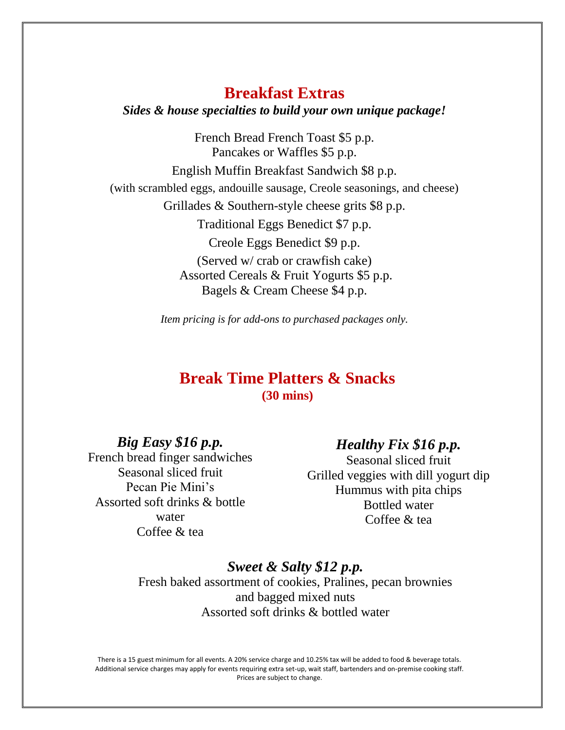## **Breakfast Extras**

#### *Sides & house specialties to build your own unique package!*

French Bread French Toast \$5 p.p. Pancakes or Waffles \$5 p.p. English Muffin Breakfast Sandwich \$8 p.p. (with scrambled eggs, andouille sausage, Creole seasonings, and cheese) Grillades & Southern-style cheese grits \$8 p.p. Traditional Eggs Benedict \$7 p.p. Creole Eggs Benedict \$9 p.p. (Served w/ crab or crawfish cake) Assorted Cereals & Fruit Yogurts \$5 p.p. Bagels & Cream Cheese \$4 p.p.

*Item pricing is for add-ons to purchased packages only.* 

## **Break Time Platters & Snacks (30 mins)**

### *Big Easy \$16 p.p.*

French bread finger sandwiches Seasonal sliced fruit Pecan Pie Mini's Assorted soft drinks & bottle water Coffee & tea

#### *Healthy Fix \$16 p.p.*

Seasonal sliced fruit Grilled veggies with dill yogurt dip Hummus with pita chips Bottled water Coffee & tea

#### *Sweet & Salty \$12 p.p.*

Fresh baked assortment of cookies, Pralines, pecan brownies and bagged mixed nuts Assorted soft drinks & bottled water

There is a 15 guest minimum for all events. A 20% service charge and 10.25% tax will be added to food & beverage totals. Additional service charges may apply for events requiring extra set-up, wait staff, bartenders and on-premise cooking staff. Prices are subject to change.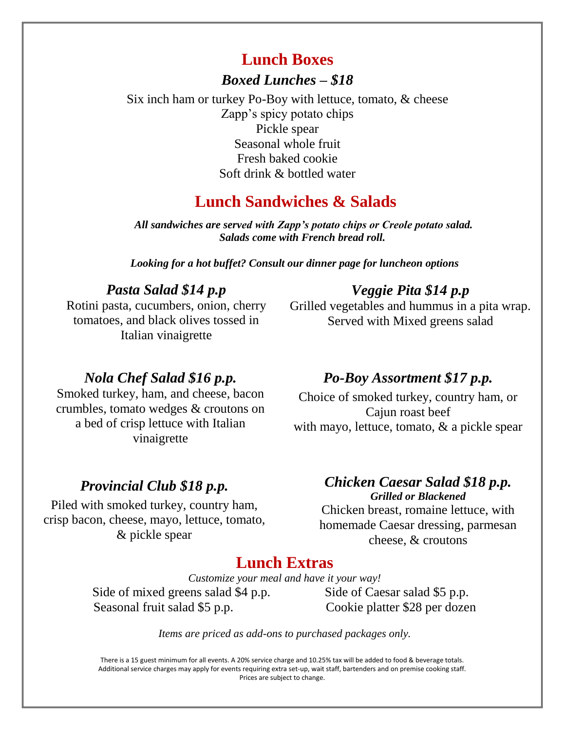## **Lunch Boxes**

#### *Boxed Lunches – \$18*

Six inch ham or turkey Po-Boy with lettuce, tomato, & cheese Zapp's spicy potato chips Pickle spear Seasonal whole fruit Fresh baked cookie Soft drink & bottled water

## **Lunch Sandwiches & Salads**

*All sandwiches are served with Zapp's potato chips or Creole potato salad. Salads come with French bread roll.* 

*Looking for a hot buffet? Consult our dinner page for luncheon options*

### *Pasta Salad \$14 p.p*

Rotini pasta, cucumbers, onion, cherry tomatoes, and black olives tossed in Italian vinaigrette

## *Veggie Pita \$14 p.p*

Grilled vegetables and hummus in a pita wrap. Served with Mixed greens salad

## *Nola Chef Salad \$16 p.p.*

Smoked turkey, ham, and cheese, bacon crumbles, tomato wedges & croutons on a bed of crisp lettuce with Italian vinaigrette

## *Po-Boy Assortment \$17 p.p.*

Choice of smoked turkey, country ham, or Cajun roast beef with mayo, lettuce, tomato, & a pickle spear

## *Provincial Club \$18 p.p.*

Piled with smoked turkey, country ham, crisp bacon, cheese, mayo, lettuce, tomato, & pickle spear

#### *Chicken Caesar Salad \$18 p.p. Grilled or Blackened*

Chicken breast, romaine lettuce, with homemade Caesar dressing, parmesan cheese, & croutons

## **Lunch Extras**

*Customize your meal and have it your way!*

Side of mixed greens salad \$4 p.p. Side of Caesar salad \$5 p.p. Seasonal fruit salad \$5 p.p. Cookie platter \$28 per dozen

*Items are priced as add-ons to purchased packages only.*

There is a 15 guest minimum for all events. A 20% service charge and 10.25% tax will be added to food & beverage totals. Additional service charges may apply for events requiring extra set-up, wait staff, bartenders and on premise cooking staff. Prices are subject to change.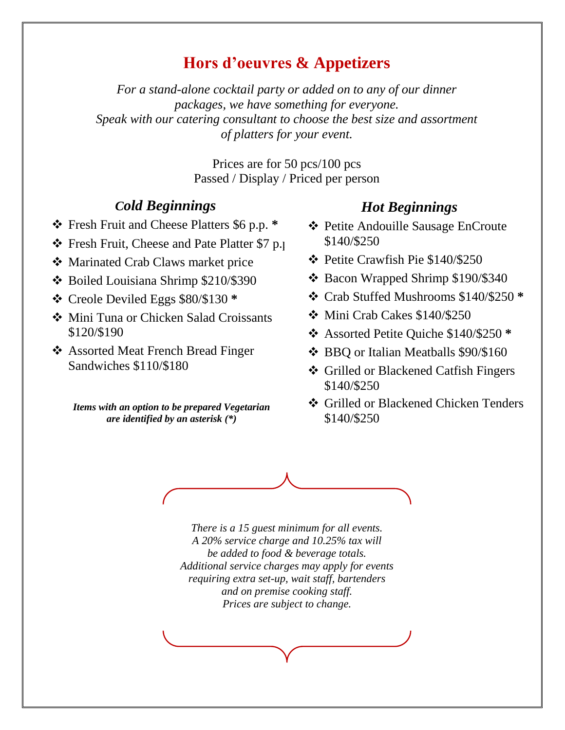## **Hors d'oeuvres & Appetizers**

*For a stand-alone cocktail party or added on to any of our dinner packages, we have something for everyone. Speak with our catering consultant to choose the best size and assortment of platters for your event.* 

> Prices are for 50 pcs/100 pcs Passed / Display / Priced per person

### *Cold Beginnings*

- Fresh Fruit and Cheese Platters \$6 p.p. **\***
- ❖ Fresh Fruit, Cheese and Pate Platter \$7 p.
- Marinated Crab Claws market price
- Boiled Louisiana Shrimp \$210/\$390
- Creole Deviled Eggs \$80/\$130 **\***
- Mini Tuna or Chicken Salad Croissants \$120/\$190
- Assorted Meat French Bread Finger Sandwiches \$110/\$180

*Items with an option to be prepared Vegetarian are identified by an asterisk (\*)*

#### *Hot Beginnings*

- Petite Andouille Sausage EnCroute \$140/\$250
- Petite Crawfish Pie \$140/\$250
- $\div$  Bacon Wrapped Shrimp \$190/\$340
- Crab Stuffed Mushrooms \$140/\$250 **\***
- Mini Crab Cakes \$140/\$250
- Assorted Petite Quiche \$140/\$250 **\***
- BBQ or Italian Meatballs \$90/\$160
- ❖ Grilled or Blackened Catfish Fingers \$140/\$250
- Grilled or Blackened Chicken Tenders \$140/\$250



*There is a 15 guest minimum for all events. A 20% service charge and 10.25% tax will be added to food & beverage totals. Additional service charges may apply for events requiring extra set-up, wait staff, bartenders and on premise cooking staff. Prices are subject to change.*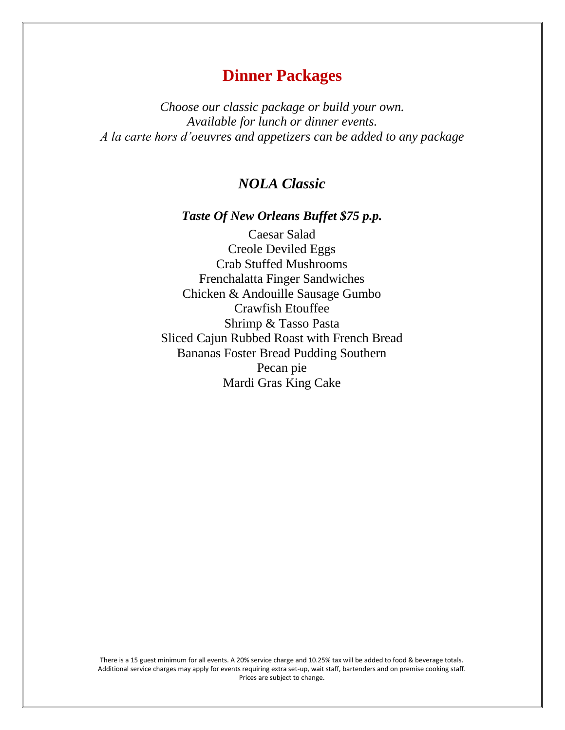## **Dinner Packages**

*Choose our classic package or build your own. Available for lunch or dinner events. A la carte hors d'oeuvres and appetizers can be added to any package* 

## *NOLA Classic*

#### *Taste Of New Orleans Buffet \$75 p.p.*

Caesar Salad Creole Deviled Eggs Crab Stuffed Mushrooms Frenchalatta Finger Sandwiches Chicken & Andouille Sausage Gumbo Crawfish Etouffee Shrimp & Tasso Pasta Sliced Cajun Rubbed Roast with French Bread Bananas Foster Bread Pudding Southern Pecan pie Mardi Gras King Cake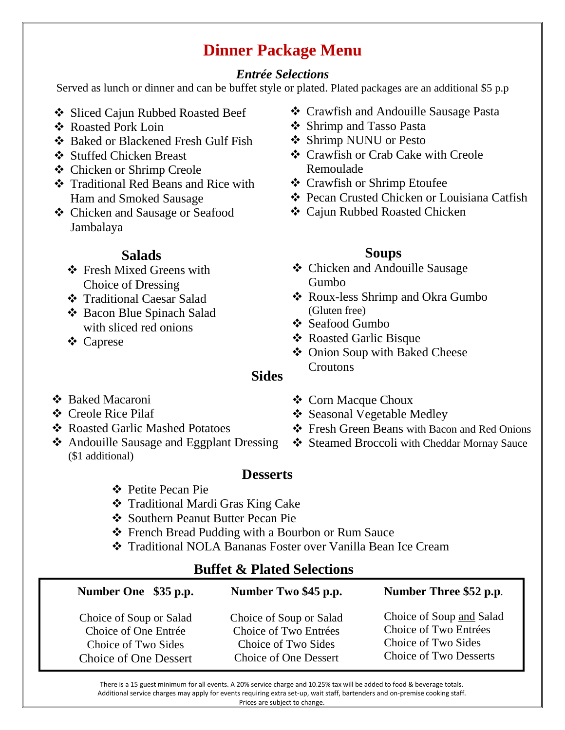## **Dinner Package Menu**

#### *Entrée Selections*

Served as lunch or dinner and can be buffet style or plated. Plated packages are an additional \$5 p.p

- ❖ Sliced Cajun Rubbed Roasted Beef
- Roasted Pork Loin
- ❖ Baked or Blackened Fresh Gulf Fish
- Stuffed Chicken Breast
- Chicken or Shrimp Creole
- **❖** Traditional Red Beans and Rice with Ham and Smoked Sausage
- Chicken and Sausage or Seafood Jambalaya

## **Salads**

- **❖** Fresh Mixed Greens with Choice of Dressing
- Traditional Caesar Salad
- Bacon Blue Spinach Salad with sliced red onions
- Caprese
- Crawfish and Andouille Sausage Pasta
- Shrimp and Tasso Pasta
- Shrimp NUNU or Pesto
- Crawfish or Crab Cake with Creole Remoulade
- Crawfish or Shrimp Etoufee
- Pecan Crusted Chicken or Louisiana Catfish
- Cajun Rubbed Roasted Chicken

### **Soups**

- Chicken and Andouille Sausage Gumbo
- Roux-less Shrimp and Okra Gumbo (Gluten free)
- Seafood Gumbo
- Roasted Garlic Bisque

❖ Corn Macque Choux

❖ Seasonal Vegetable Medley

 Fresh Green Beans with Bacon and Red Onions Steamed Broccoli with Cheddar Mornay Sauce

 Onion Soup with Baked Cheese **Croutons** 

#### **Sides**

- **❖** Baked Macaroni
- **❖** Creole Rice Pilaf
- Roasted Garlic Mashed Potatoes
- Andouille Sausage and Eggplant Dressing (\$1 additional)

#### **Desserts**

- Petite Pecan Pie
- Traditional Mardi Gras King Cake
- Southern Peanut Butter Pecan Pie
- French Bread Pudding with a Bourbon or Rum Sauce
- Traditional NOLA Bananas Foster over Vanilla Bean Ice Cream

| D'UILVE LY I IMBOU D'EIVERDIN                                                                   |                                                                                                  |                                                                                                           |
|-------------------------------------------------------------------------------------------------|--------------------------------------------------------------------------------------------------|-----------------------------------------------------------------------------------------------------------|
| Number One \$35 p.p.                                                                            | Number Two \$45 p.p.                                                                             | Number Three \$52 p.p.                                                                                    |
| Choice of Soup or Salad<br>Choice of One Entrée<br>Choice of Two Sides<br>Choice of One Dessert | Choice of Soup or Salad<br>Choice of Two Entrées<br>Choice of Two Sides<br>Choice of One Dessert | Choice of Soup and Salad<br>Choice of Two Entrées<br>Choice of Two Sides<br><b>Choice of Two Desserts</b> |

## **Buffet & Plated Selections**

There is a 15 guest minimum for all events. A 20% service charge and 10.25% tax will be added to food & beverage totals. Additional service charges may apply for events requiring extra set-up, wait staff, bartenders and on-premise cooking staff. Prices are subject to change.